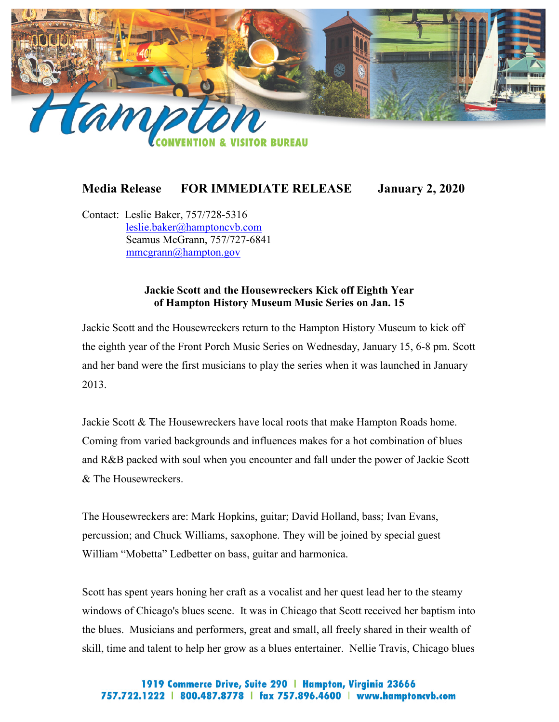

## **Media Release FOR IMMEDIATE RELEASE January 2, 2020**

Contact: Leslie Baker, 757/728-5316 [leslie.baker@hamptoncvb.com](mailto:leslie.baker@hamptoncvb.com) Seamus McGrann, 757/727-6841 [mmcgrann@hampton.gov](mailto:mmcgrann@hampton.gov)

## **Jackie Scott and the Housewreckers Kick off Eighth Year of Hampton History Museum Music Series on Jan. 15**

Jackie Scott and the Housewreckers return to the Hampton History Museum to kick off the eighth year of the Front Porch Music Series on Wednesday, January 15, 6-8 pm. Scott and her band were the first musicians to play the series when it was launched in January 2013.

Jackie Scott & The Housewreckers have local roots that make Hampton Roads home. Coming from varied backgrounds and influences makes for a hot combination of blues and R&B packed with soul when you encounter and fall under the power of Jackie Scott & The Housewreckers.

The Housewreckers are: Mark Hopkins, guitar; David Holland, bass; Ivan Evans, percussion; and Chuck Williams, saxophone. They will be joined by special guest William "Mobetta" Ledbetter on bass, guitar and harmonica.

Scott has spent years honing her craft as a vocalist and her quest lead her to the steamy windows of Chicago's blues scene. It was in Chicago that Scott received her baptism into the blues. Musicians and performers, great and small, all freely shared in their wealth of skill, time and talent to help her grow as a blues entertainer. Nellie Travis, Chicago blues